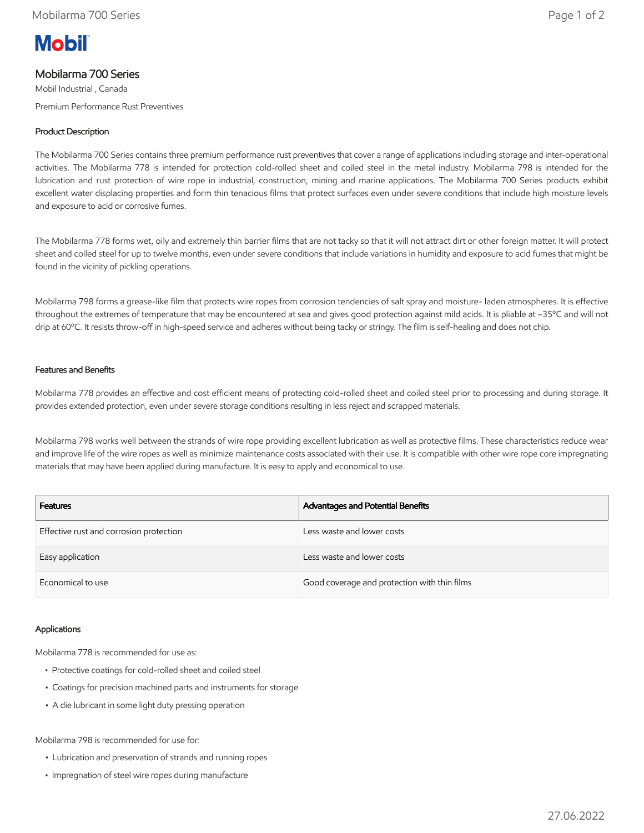# **Mobil**

# Mobilarma 700 Series

Mobil Industrial , Canada

Premium Performance Rust Preventives

## Product Description

The Mobilarma 700 Series contains three premium performance rust preventives that cover a range of applications including storage and inter-operational activities. The Mobilarma 778 is intended for protection cold-rolled sheet and coiled steel in the metal industry. Mobilarma 798 is intended for the lubrication and rust protection of wire rope in industrial, construction, mining and marine applications. The Mobilarma 700 Series products exhibit excellent water displacing properties and form thin tenacious films that protect surfaces even under severe conditions that include high moisture levels and exposure to acid or corrosive fumes.

The Mobilarma 778 forms wet, oily and extremely thin barrier films that are not tacky so that it will not attract dirt or other foreign matter. It will protect sheet and coiled steel for up to twelve months, even under severe conditions that include variations in humidity and exposure to acid fumes that might be found in the vicinity of pickling operations.

Mobilarma 798 forms a grease-like film that protects wire ropes from corrosion tendencies of salt spray and moisture- laden atmospheres. It is effective throughout the extremes of temperature that may be encountered at sea and gives good protection against mild acids. It is pliable at –35ºC and will not drip at 60ºC. It resists throw-off in high-speed service and adheres without being tacky or stringy. The film is self-healing and does not chip.

### Features and Benefits

Mobilarma 778 provides an effective and cost efficient means of protecting cold-rolled sheet and coiled steel prior to processing and during storage. It provides extended protection, even under severe storage conditions resulting in less reject and scrapped materials.

Mobilarma 798 works well between the strands of wire rope providing excellent lubrication as well as protective films. These characteristics reduce wear and improve life of the wire ropes as well as minimize maintenance costs associated with their use. It is compatible with other wire rope core impregnating materials that may have been applied during manufacture. It is easy to apply and economical to use.

| <b>Features</b>                         | Advantages and Potential Benefits            |
|-----------------------------------------|----------------------------------------------|
| Effective rust and corrosion protection | Less waste and lower costs                   |
| Easy application                        | Less waste and lower costs                   |
| Economical to use                       | Good coverage and protection with thin films |

#### Applications

Mobilarma 778 is recommended for use as:

- Protective coatings for cold-rolled sheet and coiled steel
- Coatings for precision machined parts and instruments for storage
- A die lubricant in some light duty pressing operation

Mobilarma 798 is recommended for use for:

- Lubrication and preservation of strands and running ropes
- Impregnation of steel wire ropes during manufacture